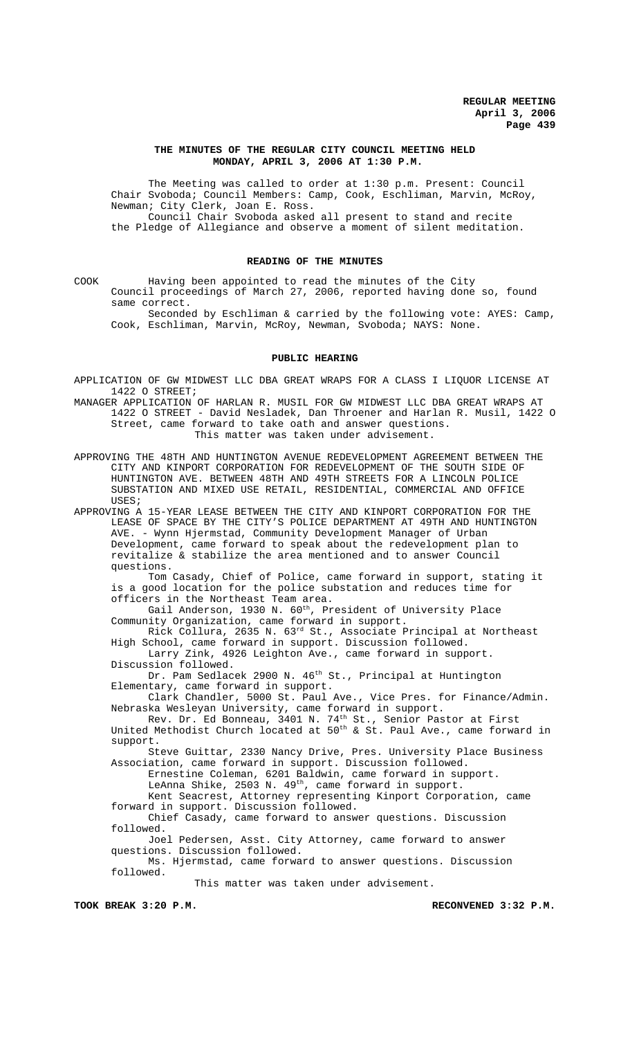### **THE MINUTES OF THE REGULAR CITY COUNCIL MEETING HELD MONDAY, APRIL 3, 2006 AT 1:30 P.M.**

The Meeting was called to order at 1:30 p.m. Present: Council Chair Svoboda; Council Members: Camp, Cook, Eschliman, Marvin, McRoy, Newman; City Clerk, Joan E. Ross. Council Chair Svoboda asked all present to stand and recite

the Pledge of Allegiance and observe a moment of silent meditation.

## **READING OF THE MINUTES**

COOK Having been appointed to read the minutes of the City Council proceedings of March 27, 2006, reported having done so, found same correct.

Seconded by Eschliman & carried by the following vote: AYES: Camp, Cook, Eschliman, Marvin, McRoy, Newman, Svoboda; NAYS: None.

#### **PUBLIC HEARING**

APPLICATION OF GW MIDWEST LLC DBA GREAT WRAPS FOR A CLASS I LIQUOR LICENSE AT 1422 O STREET;

MANAGER APPLICATION OF HARLAN R. MUSIL FOR GW MIDWEST LLC DBA GREAT WRAPS AT 1422 O STREET - David Nesladek, Dan Throener and Harlan R. Musil, 1422 O Street, came forward to take oath and answer questions. This matter was taken under advisement.

APPROVING THE 48TH AND HUNTINGTON AVENUE REDEVELOPMENT AGREEMENT BETWEEN THE CITY AND KINPORT CORPORATION FOR REDEVELOPMENT OF THE SOUTH SIDE OF HUNTINGTON AVE. BETWEEN 48TH AND 49TH STREETS FOR A LINCOLN POLICE SUBSTATION AND MIXED USE RETAIL, RESIDENTIAL, COMMERCIAL AND OFFICE USES;

APPROVING A 15-YEAR LEASE BETWEEN THE CITY AND KINPORT CORPORATION FOR THE LEASE OF SPACE BY THE CITY'S POLICE DEPARTMENT AT 49TH AND HUNTINGTON AVE. - Wynn Hjermstad, Community Development Manager of Urban Development, came forward to speak about the redevelopment plan to revitalize & stabilize the area mentioned and to answer Council questions.

Tom Casady, Chief of Police, came forward in support, stating it is a good location for the police substation and reduces time for officers in the Northeast Team area.

Gail Anderson, 1930 N. 60<sup>th</sup>, President of University Place Community Organization, came forward in support.

Rick Collura, 2635 N. 63rd St., Associate Principal at Northeast High School, came forward in support. Discussion followed. Larry Zink, 4926 Leighton Ave., came forward in support.

Discussion followed.

Dr. Pam Sedlacek 2900 N. 46<sup>th</sup> St., Principal at Huntington Elementary, came forward in support.

Clark Chandler, 5000 St. Paul Ave., Vice Pres. for Finance/Admin. Nebraska Wesleyan University, came forward in support.

Rev. Dr. Ed Bonneau, 3401 N. 74<sup>th</sup> St., Senior Pastor at First

United Methodist Church located at  $50^{\text{th}}$  & St. Paul Ave., came forward in support.

Steve Guittar, 2330 Nancy Drive, Pres. University Place Business Association, came forward in support. Discussion followed.

Ernestine Coleman, 6201 Baldwin, came forward in support.

LeAnna Shike, 2503 N. 49<sup>th</sup>, came forward in support.

Kent Seacrest, Attorney representing Kinport Corporation, came forward in support. Discussion followed.

Chief Casady, came forward to answer questions. Discussion followed.

Joel Pedersen, Asst. City Attorney, came forward to answer questions. Discussion followed.

Ms. Hjermstad, came forward to answer questions. Discussion followed.

This matter was taken under advisement.

TOOK BREAK 3:20 P.M. **RECONVENED 3:32 P.M.**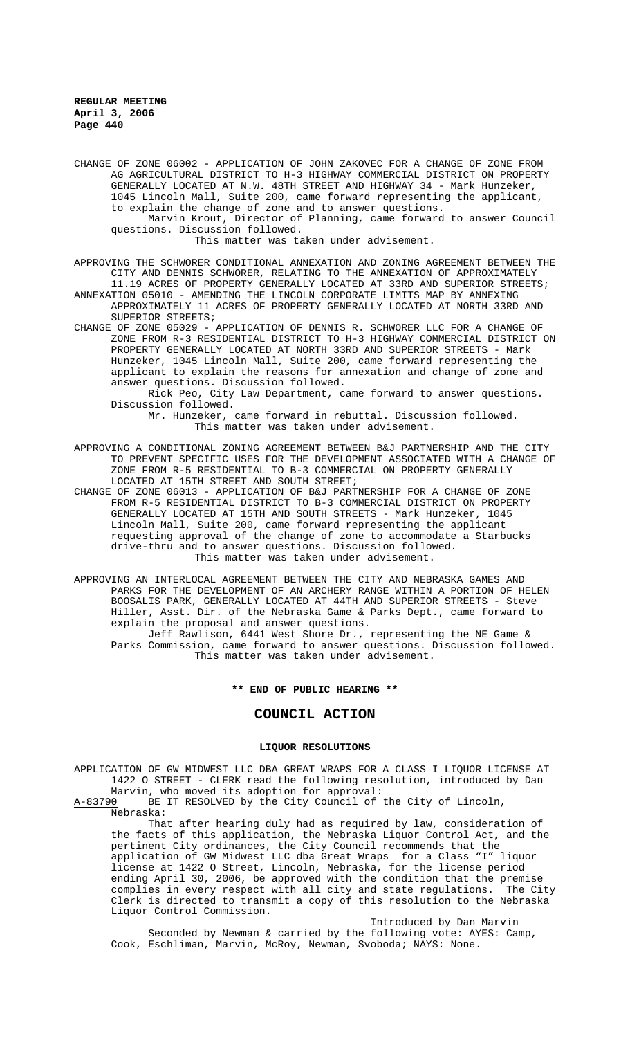CHANGE OF ZONE 06002 - APPLICATION OF JOHN ZAKOVEC FOR A CHANGE OF ZONE FROM AG AGRICULTURAL DISTRICT TO H-3 HIGHWAY COMMERCIAL DISTRICT ON PROPERTY GENERALLY LOCATED AT N.W. 48TH STREET AND HIGHWAY 34 - Mark Hunzeker, 1045 Lincoln Mall, Suite 200, came forward representing the applicant, to explain the change of zone and to answer questions. Marvin Krout, Director of Planning, came forward to answer Council questions. Discussion followed. This matter was taken under advisement.

APPROVING THE SCHWORER CONDITIONAL ANNEXATION AND ZONING AGREEMENT BETWEEN THE CITY AND DENNIS SCHWORER, RELATING TO THE ANNEXATION OF APPROXIMATELY 11.19 ACRES OF PROPERTY GENERALLY LOCATED AT 33RD AND SUPERIOR STREETS;

ANNEXATION 05010 - AMENDING THE LINCOLN CORPORATE LIMITS MAP BY ANNEXING APPROXIMATELY 11 ACRES OF PROPERTY GENERALLY LOCATED AT NORTH 33RD AND SUPERIOR STREETS;

CHANGE OF ZONE 05029 - APPLICATION OF DENNIS R. SCHWORER LLC FOR A CHANGE OF ZONE FROM R-3 RESIDENTIAL DISTRICT TO H-3 HIGHWAY COMMERCIAL DISTRICT ON PROPERTY GENERALLY LOCATED AT NORTH 33RD AND SUPERIOR STREETS - Mark Hunzeker, 1045 Lincoln Mall, Suite 200, came forward representing the applicant to explain the reasons for annexation and change of zone and answer questions. Discussion followed.

Rick Peo, City Law Department, came forward to answer questions. Discussion followed. Mr. Hunzeker, came forward in rebuttal. Discussion followed.

This matter was taken under advisement.

APPROVING A CONDITIONAL ZONING AGREEMENT BETWEEN B&J PARTNERSHIP AND THE CITY TO PREVENT SPECIFIC USES FOR THE DEVELOPMENT ASSOCIATED WITH A CHANGE OF ZONE FROM R-5 RESIDENTIAL TO B-3 COMMERCIAL ON PROPERTY GENERALLY LOCATED AT 15TH STREET AND SOUTH STREET;

CHANGE OF ZONE 06013 - APPLICATION OF B&J PARTNERSHIP FOR A CHANGE OF ZONE FROM R-5 RESIDENTIAL DISTRICT TO B-3 COMMERCIAL DISTRICT ON PROPERTY GENERALLY LOCATED AT 15TH AND SOUTH STREETS - Mark Hunzeker, 1045 Lincoln Mall, Suite 200, came forward representing the applicant requesting approval of the change of zone to accommodate a Starbucks drive-thru and to answer questions. Discussion followed. This matter was taken under advisement.

APPROVING AN INTERLOCAL AGREEMENT BETWEEN THE CITY AND NEBRASKA GAMES AND PARKS FOR THE DEVELOPMENT OF AN ARCHERY RANGE WITHIN A PORTION OF HELEN BOOSALIS PARK, GENERALLY LOCATED AT 44TH AND SUPERIOR STREETS - Steve Hiller, Asst. Dir. of the Nebraska Game & Parks Dept., came forward to explain the proposal and answer questions.

Jeff Rawlison, 6441 West Shore Dr., representing the NE Game & Parks Commission, came forward to answer questions. Discussion followed. This matter was taken under advisement.

# **\*\* END OF PUBLIC HEARING \*\***

# **COUNCIL ACTION**

#### **LIQUOR RESOLUTIONS**

APPLICATION OF GW MIDWEST LLC DBA GREAT WRAPS FOR A CLASS I LIQUOR LICENSE AT 1422 O STREET - CLERK read the following resolution, introduced by Dan Marvin, who moved its adoption for approval:<br>A-83790 BE IT RESOLVED by the City Council of

BE IT RESOLVED by the City Council of the City of Lincoln, Nebraska:

That after hearing duly had as required by law, consideration of the facts of this application, the Nebraska Liquor Control Act, and the pertinent City ordinances, the City Council recommends that the application of GW Midwest LLC dba Great Wraps for a Class "I" liquor license at 1422 O Street, Lincoln, Nebraska, for the license period ending April 30, 2006, be approved with the condition that the premise complies in every respect with all city and state regulations. The City Clerk is directed to transmit a copy of this resolution to the Nebraska Liquor Control Commission.

Introduced by Dan Marvin Seconded by Newman & carried by the following vote: AYES: Camp, Cook, Eschliman, Marvin, McRoy, Newman, Svoboda; NAYS: None.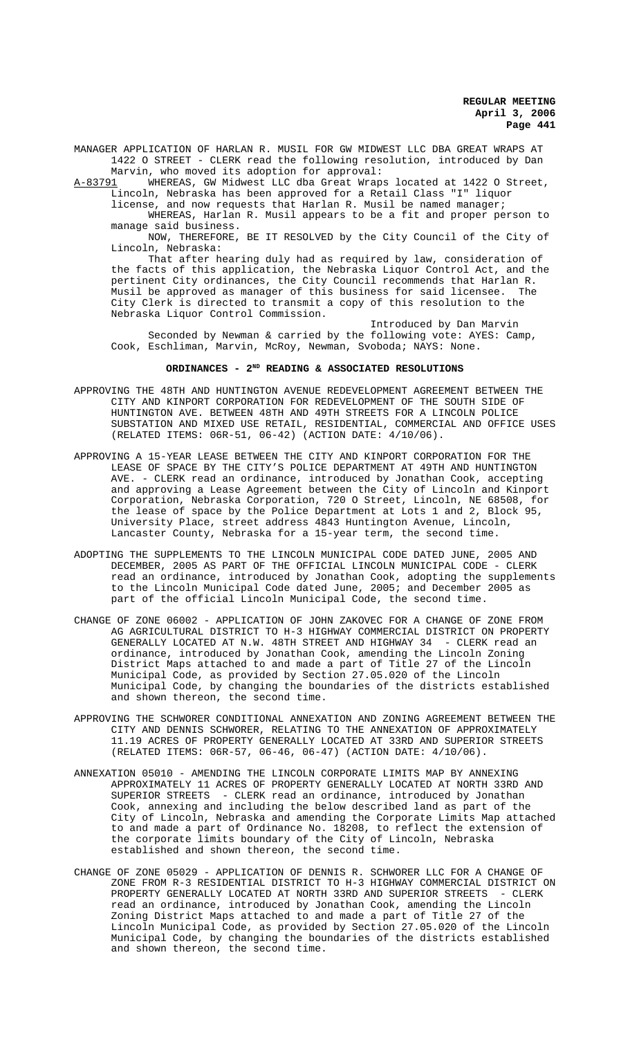MANAGER APPLICATION OF HARLAN R. MUSIL FOR GW MIDWEST LLC DBA GREAT WRAPS AT 1422 O STREET - CLERK read the following resolution, introduced by Dan

Marvin, who moved its adoption for approval:<br>A-83791 WHEREAS, GW Midwest LLC dba Great Wrap WHEREAS, GW Midwest LLC dba Great Wraps located at 1422 O Street, Lincoln, Nebraska has been approved for a Retail Class "I" liquor

license, and now requests that Harlan R. Musil be named manager; WHEREAS, Harlan R. Musil appears to be a fit and proper person to manage said business.

NOW, THEREFORE, BE IT RESOLVED by the City Council of the City of Lincoln, Nebraska:

That after hearing duly had as required by law, consideration of the facts of this application, the Nebraska Liquor Control Act, and the pertinent City ordinances, the City Council recommends that Harlan R. Musil be approved as manager of this business for said licensee. The City Clerk is directed to transmit a copy of this resolution to the Nebraska Liquor Control Commission.

Introduced by Dan Marvin Seconded by Newman & carried by the following vote: AYES: Camp, Cook, Eschliman, Marvin, McRoy, Newman, Svoboda; NAYS: None.

# ORDINANCES - 2<sup>ND</sup> READING & ASSOCIATED RESOLUTIONS

- APPROVING THE 48TH AND HUNTINGTON AVENUE REDEVELOPMENT AGREEMENT BETWEEN THE CITY AND KINPORT CORPORATION FOR REDEVELOPMENT OF THE SOUTH SIDE OF HUNTINGTON AVE. BETWEEN 48TH AND 49TH STREETS FOR A LINCOLN POLICE SUBSTATION AND MIXED USE RETAIL, RESIDENTIAL, COMMERCIAL AND OFFICE USES (RELATED ITEMS: 06R-51, 06-42) (ACTION DATE: 4/10/06).
- APPROVING A 15-YEAR LEASE BETWEEN THE CITY AND KINPORT CORPORATION FOR THE LEASE OF SPACE BY THE CITY'S POLICE DEPARTMENT AT 49TH AND HUNTINGTON AVE. - CLERK read an ordinance, introduced by Jonathan Cook, accepting and approving a Lease Agreement between the City of Lincoln and Kinport Corporation, Nebraska Corporation, 720 O Street, Lincoln, NE 68508, for the lease of space by the Police Department at Lots 1 and 2, Block 95, University Place, street address 4843 Huntington Avenue, Lincoln, Lancaster County, Nebraska for a 15-year term, the second time.
- ADOPTING THE SUPPLEMENTS TO THE LINCOLN MUNICIPAL CODE DATED JUNE, 2005 AND DECEMBER, 2005 AS PART OF THE OFFICIAL LINCOLN MUNICIPAL CODE - CLERK read an ordinance, introduced by Jonathan Cook, adopting the supplements to the Lincoln Municipal Code dated June, 2005; and December 2005 as part of the official Lincoln Municipal Code, the second time.
- CHANGE OF ZONE 06002 APPLICATION OF JOHN ZAKOVEC FOR A CHANGE OF ZONE FROM AG AGRICULTURAL DISTRICT TO H-3 HIGHWAY COMMERCIAL DISTRICT ON PROPERTY GENERALLY LOCATED AT N.W. 48TH STREET AND HIGHWAY 34 - CLERK read an ordinance, introduced by Jonathan Cook, amending the Lincoln Zoning District Maps attached to and made a part of Title 27 of the Lincoln Municipal Code, as provided by Section 27.05.020 of the Lincoln Municipal Code, by changing the boundaries of the districts established and shown thereon, the second time.
- APPROVING THE SCHWORER CONDITIONAL ANNEXATION AND ZONING AGREEMENT BETWEEN THE CITY AND DENNIS SCHWORER, RELATING TO THE ANNEXATION OF APPROXIMATELY 11.19 ACRES OF PROPERTY GENERALLY LOCATED AT 33RD AND SUPERIOR STREETS (RELATED ITEMS: 06R-57, 06-46, 06-47) (ACTION DATE: 4/10/06).
- ANNEXATION 05010 AMENDING THE LINCOLN CORPORATE LIMITS MAP BY ANNEXING APPROXIMATELY 11 ACRES OF PROPERTY GENERALLY LOCATED AT NORTH 33RD AND SUPERIOR STREETS - CLERK read an ordinance, introduced by Jonathan Cook, annexing and including the below described land as part of the City of Lincoln, Nebraska and amending the Corporate Limits Map attached to and made a part of Ordinance No. 18208, to reflect the extension of the corporate limits boundary of the City of Lincoln, Nebraska established and shown thereon, the second time.
- CHANGE OF ZONE 05029 APPLICATION OF DENNIS R. SCHWORER LLC FOR A CHANGE OF ZONE FROM R-3 RESIDENTIAL DISTRICT TO H-3 HIGHWAY COMMERCIAL DISTRICT ON PROPERTY GENERALLY LOCATED AT NORTH 33RD AND SUPERIOR STREETS - CLERK read an ordinance, introduced by Jonathan Cook, amending the Lincoln Zoning District Maps attached to and made a part of Title 27 of the Lincoln Municipal Code, as provided by Section 27.05.020 of the Lincoln Municipal Code, by changing the boundaries of the districts established and shown thereon, the second time.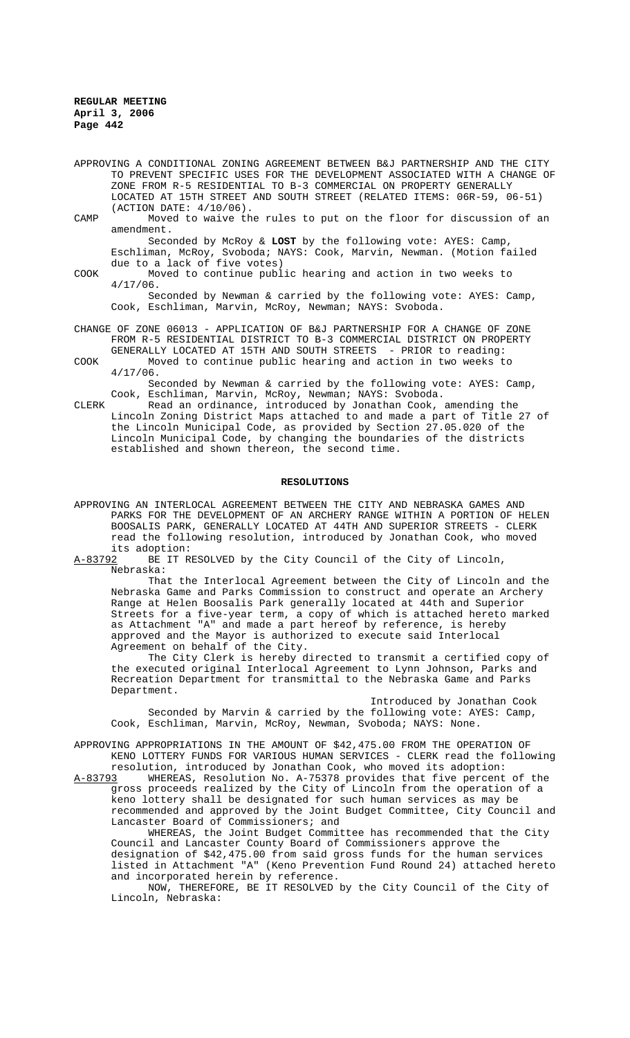APPROVING A CONDITIONAL ZONING AGREEMENT BETWEEN B&J PARTNERSHIP AND THE CITY TO PREVENT SPECIFIC USES FOR THE DEVELOPMENT ASSOCIATED WITH A CHANGE OF ZONE FROM R-5 RESIDENTIAL TO B-3 COMMERCIAL ON PROPERTY GENERALLY LOCATED AT 15TH STREET AND SOUTH STREET (RELATED ITEMS: 06R-59, 06-51) (ACTION DATE: 4/10/06).

CAMP Moved to waive the rules to put on the floor for discussion of an amendment.

Seconded by McRoy & **LOST** by the following vote: AYES: Camp, Eschliman, McRoy, Svoboda; NAYS: Cook, Marvin, Newman. (Motion failed due to a lack of five votes)

COOK Moved to continue public hearing and action in two weeks to 4/17/06.

Seconded by Newman & carried by the following vote: AYES: Camp, Cook, Eschliman, Marvin, McRoy, Newman; NAYS: Svoboda.

CHANGE OF ZONE 06013 - APPLICATION OF B&J PARTNERSHIP FOR A CHANGE OF ZONE FROM R-5 RESIDENTIAL DISTRICT TO B-3 COMMERCIAL DISTRICT ON PROPERTY GENERALLY LOCATED AT 15TH AND SOUTH STREETS - PRIOR to reading: COOK Moved to continue public hearing and action in two weeks to

4/17/06.

Seconded by Newman & carried by the following vote: AYES: Camp, Cook, Eschliman, Marvin, McRoy, Newman; NAYS: Svoboda.

CLERK Read an ordinance, introduced by Jonathan Cook, amending the Lincoln Zoning District Maps attached to and made a part of Title 27 of the Lincoln Municipal Code, as provided by Section 27.05.020 of the Lincoln Municipal Code, by changing the boundaries of the districts established and shown thereon, the second time.

### **RESOLUTIONS**

APPROVING AN INTERLOCAL AGREEMENT BETWEEN THE CITY AND NEBRASKA GAMES AND PARKS FOR THE DEVELOPMENT OF AN ARCHERY RANGE WITHIN A PORTION OF HELEN BOOSALIS PARK, GENERALLY LOCATED AT 44TH AND SUPERIOR STREETS - CLERK read the following resolution, introduced by Jonathan Cook, who moved its adoption:

A-83792 BE IT RESOLVED by the City Council of the City of Lincoln, Nebraska:

That the Interlocal Agreement between the City of Lincoln and the Nebraska Game and Parks Commission to construct and operate an Archery Range at Helen Boosalis Park generally located at 44th and Superior Streets for a five-year term, a copy of which is attached hereto marked as Attachment "A" and made a part hereof by reference, is hereby approved and the Mayor is authorized to execute said Interlocal Agreement on behalf of the City.

The City Clerk is hereby directed to transmit a certified copy of the executed original Interlocal Agreement to Lynn Johnson, Parks and Recreation Department for transmittal to the Nebraska Game and Parks Department.

Introduced by Jonathan Cook Seconded by Marvin & carried by the following vote: AYES: Camp, Cook, Eschliman, Marvin, McRoy, Newman, Svoboda; NAYS: None.

APPROVING APPROPRIATIONS IN THE AMOUNT OF \$42,475.00 FROM THE OPERATION OF KENO LOTTERY FUNDS FOR VARIOUS HUMAN SERVICES - CLERK read the following

resolution, introduced by Jonathan Cook, who moved its adoption:<br>A-83793 WHEREAS, Resolution No. A-75378 provides that five percent WHEREAS, Resolution No. A-75378 provides that five percent of the gross proceeds realized by the City of Lincoln from the operation of a

keno lottery shall be designated for such human services as may be recommended and approved by the Joint Budget Committee, City Council and Lancaster Board of Commissioners; and

WHEREAS, the Joint Budget Committee has recommended that the City Council and Lancaster County Board of Commissioners approve the designation of \$42,475.00 from said gross funds for the human services listed in Attachment "A" (Keno Prevention Fund Round 24) attached hereto and incorporated herein by reference.

NOW, THEREFORE, BE IT RESOLVED by the City Council of the City of Lincoln, Nebraska: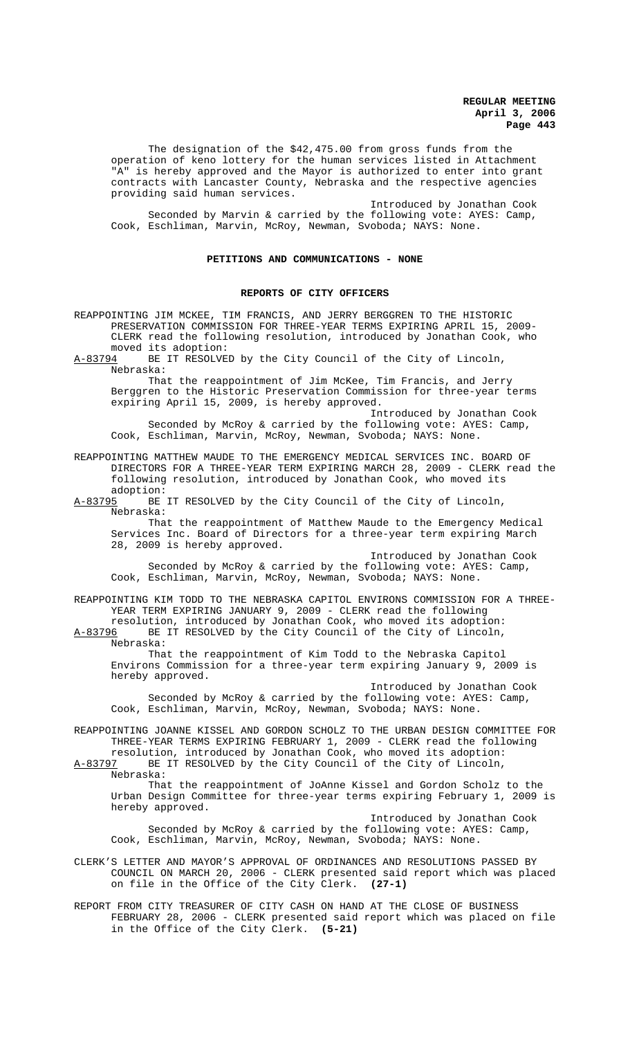The designation of the \$42,475.00 from gross funds from the operation of keno lottery for the human services listed in Attachment "A" is hereby approved and the Mayor is authorized to enter into grant contracts with Lancaster County, Nebraska and the respective agencies providing said human services.

Introduced by Jonathan Cook Seconded by Marvin & carried by the following vote: AYES: Camp, Cook, Eschliman, Marvin, McRoy, Newman, Svoboda; NAYS: None.

### **PETITIONS AND COMMUNICATIONS - NONE**

#### **REPORTS OF CITY OFFICERS**

REAPPOINTING JIM MCKEE, TIM FRANCIS, AND JERRY BERGGREN TO THE HISTORIC PRESERVATION COMMISSION FOR THREE-YEAR TERMS EXPIRING APRIL 15, 2009- CLERK read the following resolution, introduced by Jonathan Cook, who moved its adoption:<br>A-83794 BE IT RESOLVE

BE IT RESOLVED by the City Council of the City of Lincoln, Nebraska:

That the reappointment of Jim McKee, Tim Francis, and Jerry Berggren to the Historic Preservation Commission for three-year terms expiring April 15, 2009, is hereby approved.

Introduced by Jonathan Cook Seconded by McRoy & carried by the following vote: AYES: Camp, Cook, Eschliman, Marvin, McRoy, Newman, Svoboda; NAYS: None.

REAPPOINTING MATTHEW MAUDE TO THE EMERGENCY MEDICAL SERVICES INC. BOARD OF DIRECTORS FOR A THREE-YEAR TERM EXPIRING MARCH 28, 2009 - CLERK read the following resolution, introduced by Jonathan Cook, who moved its

adoption:<br>A-83795 BE BE IT RESOLVED by the City Council of the City of Lincoln, Nebraska:

That the reappointment of Matthew Maude to the Emergency Medical Services Inc. Board of Directors for a three-year term expiring March 28, 2009 is hereby approved.

Introduced by Jonathan Cook Seconded by McRoy & carried by the following vote: AYES: Camp, Cook, Eschliman, Marvin, McRoy, Newman, Svoboda; NAYS: None.

REAPPOINTING KIM TODD TO THE NEBRASKA CAPITOL ENVIRONS COMMISSION FOR A THREE-YEAR TERM EXPIRING JANUARY 9, 2009 - CLERK read the following

resolution, introduced by Jonathan Cook, who moved its adoption:<br>A-83796 BE IT RESOLVED by the City Council of the City of Lincoln, BE IT RESOLVED by the City Council of the City of Lincoln, Nebraska:

That the reappointment of Kim Todd to the Nebraska Capitol Environs Commission for a three-year term expiring January 9, 2009 is hereby approved.

Introduced by Jonathan Cook Seconded by McRoy & carried by the following vote: AYES: Camp, Cook, Eschliman, Marvin, McRoy, Newman, Svoboda; NAYS: None.

REAPPOINTING JOANNE KISSEL AND GORDON SCHOLZ TO THE URBAN DESIGN COMMITTEE FOR THREE-YEAR TERMS EXPIRING FEBRUARY 1, 2009 - CLERK read the following

resolution, introduced by Jonathan Cook, who moved its adoption:<br>A-83797 BE IT RESOLVED by the City Council of the City of Lincoln, BE IT RESOLVED by the City Council of the City of Lincoln, Nebraska:

That the reappointment of JoAnne Kissel and Gordon Scholz to the Urban Design Committee for three-year terms expiring February 1, 2009 is hereby approved.

Introduced by Jonathan Cook Seconded by McRoy & carried by the following vote: AYES: Camp, Cook, Eschliman, Marvin, McRoy, Newman, Svoboda; NAYS: None.

CLERK'S LETTER AND MAYOR'S APPROVAL OF ORDINANCES AND RESOLUTIONS PASSED BY COUNCIL ON MARCH 20, 2006 - CLERK presented said report which was placed on file in the Office of the City Clerk. **(27-1)**

REPORT FROM CITY TREASURER OF CITY CASH ON HAND AT THE CLOSE OF BUSINESS FEBRUARY 28, 2006 - CLERK presented said report which was placed on file in the Office of the City Clerk. **(5-21)**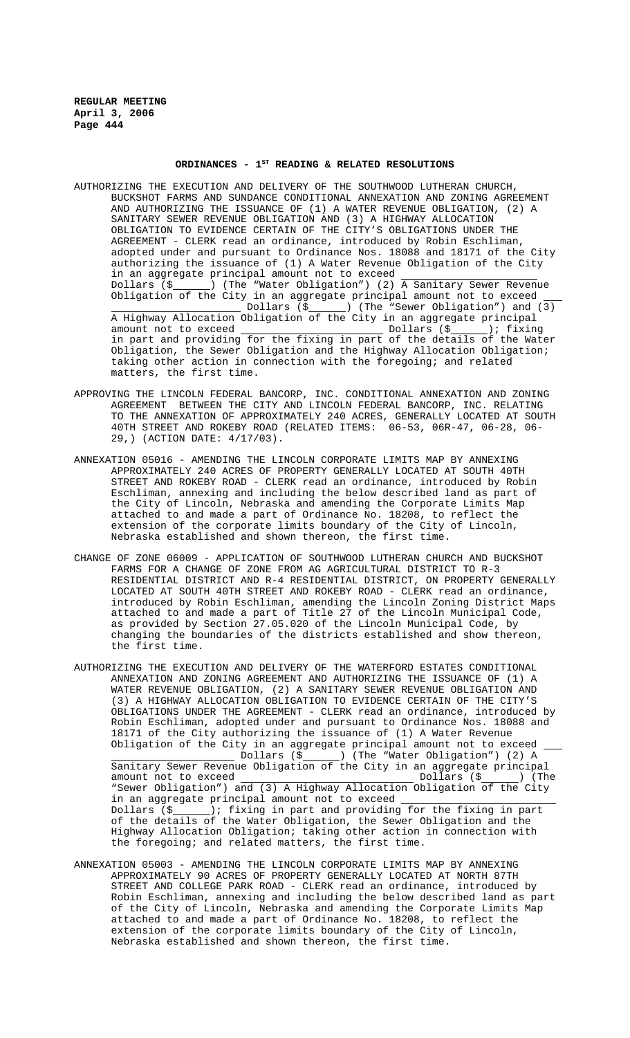# ORDINANCES - 1<sup>st</sup> READING & RELATED RESOLUTIONS

- AUTHORIZING THE EXECUTION AND DELIVERY OF THE SOUTHWOOD LUTHERAN CHURCH, BUCKSHOT FARMS AND SUNDANCE CONDITIONAL ANNEXATION AND ZONING AGREEMENT AND AUTHORIZING THE ISSUANCE OF (1) A WATER REVENUE OBLIGATION, (2) A SANITARY SEWER REVENUE OBLIGATION AND (3) A HIGHWAY ALLOCATION OBLIGATION TO EVIDENCE CERTAIN OF THE CITY'S OBLIGATIONS UNDER THE AGREEMENT - CLERK read an ordinance, introduced by Robin Eschliman, adopted under and pursuant to Ordinance Nos. 18088 and 18171 of the City authorizing the issuance of (1) A Water Revenue Obligation of the City in an aggregate principal amount not to exceed Dollars (\$ ) (The "Water Obligation") (2) A Sanitary Sewer Revenue Obligation of the City in an aggregate principal amount not to exceed [3] Dollars (\$ \bdots ) (The "Sewer Obligation") and (3) A Highway Allocation Obligation of the City in an aggregate principal amount not to exceed Dollars (\$ ); fixing in part and providing for the fixing in part of the details of the Water Obligation, the Sewer Obligation and the Highway Allocation Obligation; taking other action in connection with the foregoing; and related matters, the first time.
- APPROVING THE LINCOLN FEDERAL BANCORP, INC. CONDITIONAL ANNEXATION AND ZONING AGREEMENT BETWEEN THE CITY AND LINCOLN FEDERAL BANCORP, INC. RELATING TO THE ANNEXATION OF APPROXIMATELY 240 ACRES, GENERALLY LOCATED AT SOUTH 40TH STREET AND ROKEBY ROAD (RELATED ITEMS: 06-53, 06R-47, 06-28, 06- 29,) (ACTION DATE: 4/17/03).
- ANNEXATION 05016 AMENDING THE LINCOLN CORPORATE LIMITS MAP BY ANNEXING APPROXIMATELY 240 ACRES OF PROPERTY GENERALLY LOCATED AT SOUTH 40TH STREET AND ROKEBY ROAD - CLERK read an ordinance, introduced by Robin Eschliman, annexing and including the below described land as part of the City of Lincoln, Nebraska and amending the Corporate Limits Map attached to and made a part of Ordinance No. 18208, to reflect the extension of the corporate limits boundary of the City of Lincoln, Nebraska established and shown thereon, the first time.
- CHANGE OF ZONE 06009 APPLICATION OF SOUTHWOOD LUTHERAN CHURCH AND BUCKSHOT FARMS FOR A CHANGE OF ZONE FROM AG AGRICULTURAL DISTRICT TO R-3 RESIDENTIAL DISTRICT AND R-4 RESIDENTIAL DISTRICT, ON PROPERTY GENERALLY LOCATED AT SOUTH 40TH STREET AND ROKEBY ROAD - CLERK read an ordinance, introduced by Robin Eschliman, amending the Lincoln Zoning District Maps attached to and made a part of Title 27 of the Lincoln Municipal Code, as provided by Section 27.05.020 of the Lincoln Municipal Code, by changing the boundaries of the districts established and show thereon, the first time.
- AUTHORIZING THE EXECUTION AND DELIVERY OF THE WATERFORD ESTATES CONDITIONAL ANNEXATION AND ZONING AGREEMENT AND AUTHORIZING THE ISSUANCE OF (1) A WATER REVENUE OBLIGATION, (2) A SANITARY SEWER REVENUE OBLIGATION AND (3) A HIGHWAY ALLOCATION OBLIGATION TO EVIDENCE CERTAIN OF THE CITY'S OBLIGATIONS UNDER THE AGREEMENT - CLERK read an ordinance, introduced by Robin Eschliman, adopted under and pursuant to Ordinance Nos. 18088 and 18171 of the City authorizing the issuance of (1) A Water Revenue Obligation of the City in an aggregate principal amount not to exceed Dollars (\$ ) (The "Water Obligation") (2) A Sanitary Sewer Revenue Obligation of the City in an aggregate principal amount not to exceed  $\begin{picture}(4,4) \put(0,0){\line(1,0){155}} \put(1,0){\line(1,0){155}} \put(1,0){\line(1,0){155}} \put(1,0){\line(1,0){155}} \put(1,0){\line(1,0){155}} \put(1,0){\line(1,0){155}} \put(1,0){\line(1,0){155}} \put(1,0){\line(1,0){155}} \put(1,0){\line(1,0){155}} \put(1,0){\line(1,0){155}} \put(1,0){\line($ "Sewer Obligation") and (3) A Highway Allocation Obligation of the City in an aggregate principal amount not to exceed  $\overline{\phantom{a}}$  Dollars (\$): fixing in part and providing ); fixing in part and providing for the fixing in part of the details of the Water Obligation, the Sewer Obligation and the Highway Allocation Obligation; taking other action in connection with the foregoing; and related matters, the first time.
- ANNEXATION 05003 AMENDING THE LINCOLN CORPORATE LIMITS MAP BY ANNEXING APPROXIMATELY 90 ACRES OF PROPERTY GENERALLY LOCATED AT NORTH 87TH STREET AND COLLEGE PARK ROAD - CLERK read an ordinance, introduced by Robin Eschliman, annexing and including the below described land as part of the City of Lincoln, Nebraska and amending the Corporate Limits Map attached to and made a part of Ordinance No. 18208, to reflect the extension of the corporate limits boundary of the City of Lincoln, Nebraska established and shown thereon, the first time.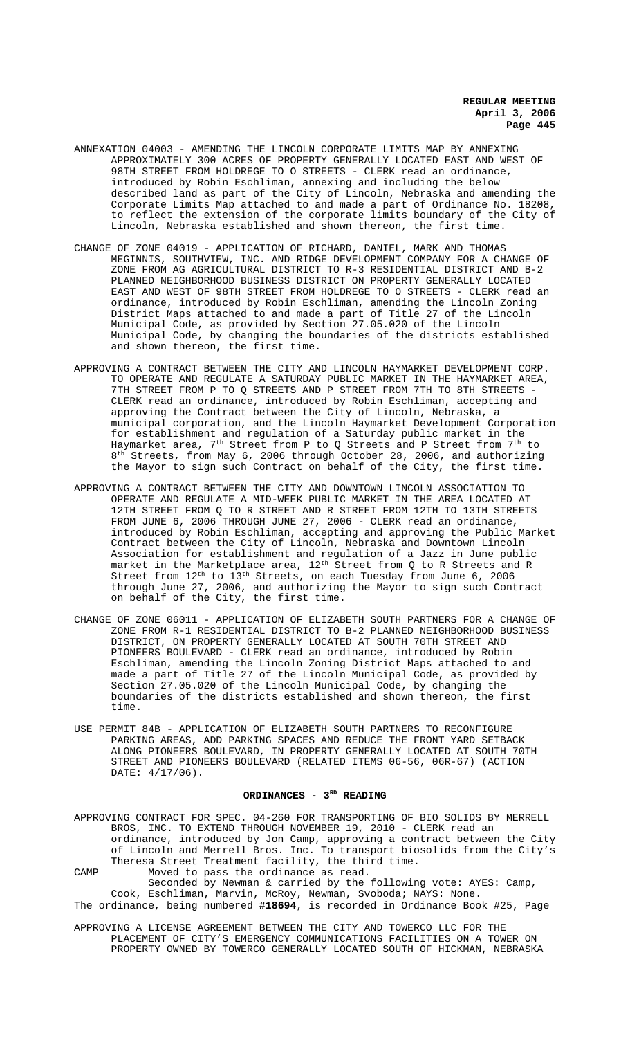- ANNEXATION 04003 AMENDING THE LINCOLN CORPORATE LIMITS MAP BY ANNEXING APPROXIMATELY 300 ACRES OF PROPERTY GENERALLY LOCATED EAST AND WEST OF 98TH STREET FROM HOLDREGE TO O STREETS - CLERK read an ordinance, introduced by Robin Eschliman, annexing and including the below described land as part of the City of Lincoln, Nebraska and amending the Corporate Limits Map attached to and made a part of Ordinance No. 18208, to reflect the extension of the corporate limits boundary of the City of Lincoln, Nebraska established and shown thereon, the first time.
- CHANGE OF ZONE 04019 APPLICATION OF RICHARD, DANIEL, MARK AND THOMAS MEGINNIS, SOUTHVIEW, INC. AND RIDGE DEVELOPMENT COMPANY FOR A CHANGE OF ZONE FROM AG AGRICULTURAL DISTRICT TO R-3 RESIDENTIAL DISTRICT AND B-2 PLANNED NEIGHBORHOOD BUSINESS DISTRICT ON PROPERTY GENERALLY LOCATED EAST AND WEST OF 98TH STREET FROM HOLDREGE TO O STREETS - CLERK read an ordinance, introduced by Robin Eschliman, amending the Lincoln Zoning District Maps attached to and made a part of Title 27 of the Lincoln Municipal Code, as provided by Section 27.05.020 of the Lincoln Municipal Code, by changing the boundaries of the districts established and shown thereon, the first time.
- APPROVING A CONTRACT BETWEEN THE CITY AND LINCOLN HAYMARKET DEVELOPMENT CORP. TO OPERATE AND REGULATE A SATURDAY PUBLIC MARKET IN THE HAYMARKET AREA, 7TH STREET FROM P TO Q STREETS AND P STREET FROM 7TH TO 8TH STREETS - CLERK read an ordinance, introduced by Robin Eschliman, accepting and approving the Contract between the City of Lincoln, Nebraska, a municipal corporation, and the Lincoln Haymarket Development Corporation for establishment and regulation of a Saturday public market in the Haymarket area, 7<sup>th</sup> Street from P to Q Streets and P Street from 7<sup>th</sup> to 8th Streets, from May 6, 2006 through October 28, 2006, and authorizing the Mayor to sign such Contract on behalf of the City, the first time.
- APPROVING A CONTRACT BETWEEN THE CITY AND DOWNTOWN LINCOLN ASSOCIATION TO OPERATE AND REGULATE A MID-WEEK PUBLIC MARKET IN THE AREA LOCATED AT 12TH STREET FROM Q TO R STREET AND R STREET FROM 12TH TO 13TH STREETS FROM JUNE 6, 2006 THROUGH JUNE 27, 2006 - CLERK read an ordinance, introduced by Robin Eschliman, accepting and approving the Public Market Contract between the City of Lincoln, Nebraska and Downtown Lincoln Association for establishment and regulation of a Jazz in June public market in the Marketplace area, 12<sup>th</sup> Street from Q to R Streets and R Street from  $12<sup>th</sup>$  to  $13<sup>th</sup>$  Streets, on each Tuesday from June 6, 2006 through June 27, 2006, and authorizing the Mayor to sign such Contract on behalf of the City, the first time.
- CHANGE OF ZONE 06011 APPLICATION OF ELIZABETH SOUTH PARTNERS FOR A CHANGE OF ZONE FROM R-1 RESIDENTIAL DISTRICT TO B-2 PLANNED NEIGHBORHOOD BUSINESS DISTRICT, ON PROPERTY GENERALLY LOCATED AT SOUTH 70TH STREET AND PIONEERS BOULEVARD - CLERK read an ordinance, introduced by Robin Eschliman, amending the Lincoln Zoning District Maps attached to and made a part of Title 27 of the Lincoln Municipal Code, as provided by Section 27.05.020 of the Lincoln Municipal Code, by changing the boundaries of the districts established and shown thereon, the first time.
- USE PERMIT 84B APPLICATION OF ELIZABETH SOUTH PARTNERS TO RECONFIGURE PARKING AREAS, ADD PARKING SPACES AND REDUCE THE FRONT YARD SETBACK ALONG PIONEERS BOULEVARD, IN PROPERTY GENERALLY LOCATED AT SOUTH 70TH STREET AND PIONEERS BOULEVARD (RELATED ITEMS 06-56, 06R-67) (ACTION DATE: 4/17/06).

### ORDINANCES - 3<sup>RD</sup> READING

APPROVING CONTRACT FOR SPEC. 04-260 FOR TRANSPORTING OF BIO SOLIDS BY MERRELL BROS, INC. TO EXTEND THROUGH NOVEMBER 19, 2010 - CLERK read an ordinance, introduced by Jon Camp, approving a contract between the City of Lincoln and Merrell Bros. Inc. To transport biosolids from the City's Theresa Street Treatment facility, the third time. CAMP Moved to pass the ordinance as read.

Seconded by Newman & carried by the following vote: AYES: Camp, Cook, Eschliman, Marvin, McRoy, Newman, Svoboda; NAYS: None. The ordinance, being numbered **#18694**, is recorded in Ordinance Book #25, Page

APPROVING A LICENSE AGREEMENT BETWEEN THE CITY AND TOWERCO LLC FOR THE PLACEMENT OF CITY'S EMERGENCY COMMUNICATIONS FACILITIES ON A TOWER ON PROPERTY OWNED BY TOWERCO GENERALLY LOCATED SOUTH OF HICKMAN, NEBRASKA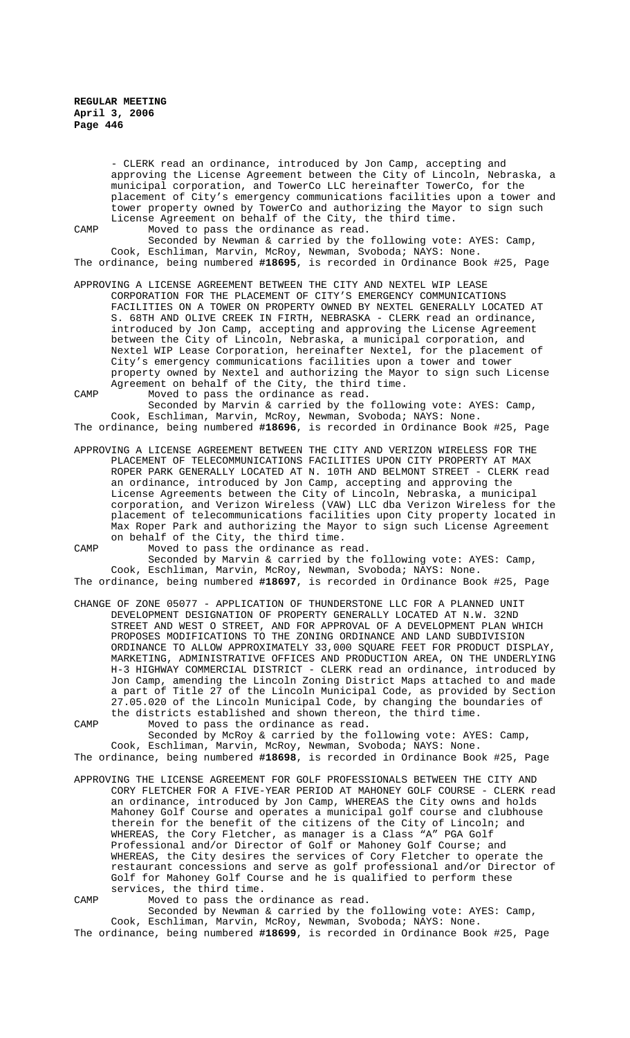- CLERK read an ordinance, introduced by Jon Camp, accepting and approving the License Agreement between the City of Lincoln, Nebraska, a municipal corporation, and TowerCo LLC hereinafter TowerCo, for the placement of City's emergency communications facilities upon a tower and tower property owned by TowerCo and authorizing the Mayor to sign such License Agreement on behalf of the City, the third time.

CAMP Moved to pass the ordinance as read.

Seconded by Newman & carried by the following vote: AYES: Camp, Cook, Eschliman, Marvin, McRoy, Newman, Svoboda; NAYS: None. The ordinance, being numbered **#18695**, is recorded in Ordinance Book #25, Page

APPROVING A LICENSE AGREEMENT BETWEEN THE CITY AND NEXTEL WIP LEASE

CORPORATION FOR THE PLACEMENT OF CITY'S EMERGENCY COMMUNICATIONS FACILITIES ON A TOWER ON PROPERTY OWNED BY NEXTEL GENERALLY LOCATED AT S. 68TH AND OLIVE CREEK IN FIRTH, NEBRASKA - CLERK read an ordinance, introduced by Jon Camp, accepting and approving the License Agreement between the City of Lincoln, Nebraska, a municipal corporation, and Nextel WIP Lease Corporation, hereinafter Nextel, for the placement of City's emergency communications facilities upon a tower and tower property owned by Nextel and authorizing the Mayor to sign such License Agreement on behalf of the City, the third time.

CAMP Moved to pass the ordinance as read. Seconded by Marvin & carried by the following vote: AYES: Camp, Cook, Eschliman, Marvin, McRoy, Newman, Svoboda; NAYS: None. The ordinance, being numbered **#18696**, is recorded in Ordinance Book #25, Page

APPROVING A LICENSE AGREEMENT BETWEEN THE CITY AND VERIZON WIRELESS FOR THE PLACEMENT OF TELECOMMUNICATIONS FACILITIES UPON CITY PROPERTY AT MAX ROPER PARK GENERALLY LOCATED AT N. 10TH AND BELMONT STREET - CLERK read an ordinance, introduced by Jon Camp, accepting and approving the License Agreements between the City of Lincoln, Nebraska, a municipal corporation, and Verizon Wireless (VAW) LLC dba Verizon Wireless for the placement of telecommunications facilities upon City property located in Max Roper Park and authorizing the Mayor to sign such License Agreement

on behalf of the City, the third time.

CAMP Moved to pass the ordinance as read. Seconded by Marvin & carried by the following vote: AYES: Camp, Cook, Eschliman, Marvin, McRoy, Newman, Svoboda; NAYS: None. The ordinance, being numbered **#18697**, is recorded in Ordinance Book #25, Page

CHANGE OF ZONE 05077 - APPLICATION OF THUNDERSTONE LLC FOR A PLANNED UNIT DEVELOPMENT DESIGNATION OF PROPERTY GENERALLY LOCATED AT N.W. 32ND STREET AND WEST O STREET, AND FOR APPROVAL OF A DEVELOPMENT PLAN WHICH PROPOSES MODIFICATIONS TO THE ZONING ORDINANCE AND LAND SUBDIVISION ORDINANCE TO ALLOW APPROXIMATELY 33,000 SQUARE FEET FOR PRODUCT DISPLAY, MARKETING, ADMINISTRATIVE OFFICES AND PRODUCTION AREA, ON THE UNDERLYING H-3 HIGHWAY COMMERCIAL DISTRICT - CLERK read an ordinance, introduced by Jon Camp, amending the Lincoln Zoning District Maps attached to and made a part of Title 27 of the Lincoln Municipal Code, as provided by Section 27.05.020 of the Lincoln Municipal Code, by changing the boundaries of the districts established and shown thereon, the third time.

CAMP Moved to pass the ordinance as read. Seconded by McRoy & carried by the following vote: AYES: Camp, Cook, Eschliman, Marvin, McRoy, Newman, Svoboda; NAYS: None. The ordinance, being numbered **#18698**, is recorded in Ordinance Book #25, Page

- APPROVING THE LICENSE AGREEMENT FOR GOLF PROFESSIONALS BETWEEN THE CITY AND CORY FLETCHER FOR A FIVE-YEAR PERIOD AT MAHONEY GOLF COURSE - CLERK read an ordinance, introduced by Jon Camp, WHEREAS the City owns and holds Mahoney Golf Course and operates a municipal golf course and clubhouse therein for the benefit of the citizens of the City of Lincoln; and WHEREAS, the Cory Fletcher, as manager is a Class "A" PGA Golf Professional and/or Director of Golf or Mahoney Golf Course; and WHEREAS, the City desires the services of Cory Fletcher to operate the restaurant concessions and serve as golf professional and/or Director of Golf for Mahoney Golf Course and he is qualified to perform these services, the third time.
- 

CAMP Moved to pass the ordinance as read.

Seconded by Newman & carried by the following vote: AYES: Camp, Cook, Eschliman, Marvin, McRoy, Newman, Svoboda; NAYS: None. The ordinance, being numbered **#18699**, is recorded in Ordinance Book #25, Page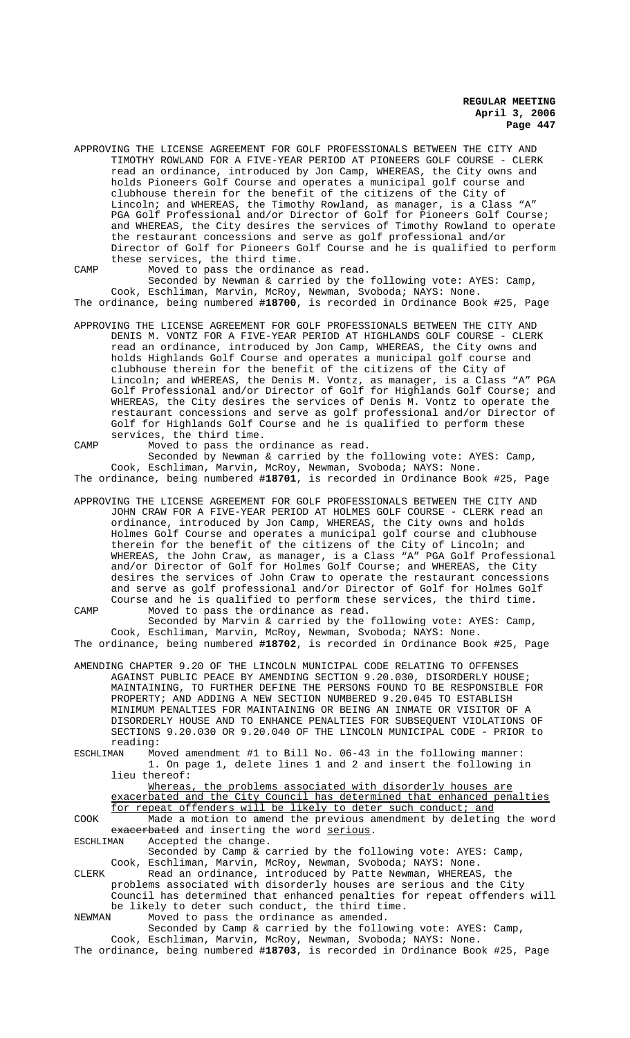APPROVING THE LICENSE AGREEMENT FOR GOLF PROFESSIONALS BETWEEN THE CITY AND TIMOTHY ROWLAND FOR A FIVE-YEAR PERIOD AT PIONEERS GOLF COURSE - CLERK read an ordinance, introduced by Jon Camp, WHEREAS, the City owns and holds Pioneers Golf Course and operates a municipal golf course and clubhouse therein for the benefit of the citizens of the City of Lincoln; and WHEREAS, the Timothy Rowland, as manager, is a Class "A" PGA Golf Professional and/or Director of Golf for Pioneers Golf Course; and WHEREAS, the City desires the services of Timothy Rowland to operate the restaurant concessions and serve as golf professional and/or Director of Golf for Pioneers Golf Course and he is qualified to perform these services, the third time.

CAMP Moved to pass the ordinance as read.

Seconded by Newman & carried by the following vote: AYES: Camp, Cook, Eschliman, Marvin, McRoy, Newman, Svoboda; NAYS: None. The ordinance, being numbered **#18700**, is recorded in Ordinance Book #25, Page

APPROVING THE LICENSE AGREEMENT FOR GOLF PROFESSIONALS BETWEEN THE CITY AND DENIS M. VONTZ FOR A FIVE-YEAR PERIOD AT HIGHLANDS GOLF COURSE - CLERK read an ordinance, introduced by Jon Camp, WHEREAS, the City owns and holds Highlands Golf Course and operates a municipal golf course and clubhouse therein for the benefit of the citizens of the City of Lincoln; and WHEREAS, the Denis M. Vontz, as manager, is a Class "A" PGA Golf Professional and/or Director of Golf for Highlands Golf Course; and WHEREAS, the City desires the services of Denis M. Vontz to operate the restaurant concessions and serve as golf professional and/or Director of Golf for Highlands Golf Course and he is qualified to perform these services, the third time.

CAMP Moved to pass the ordinance as read. Seconded by Newman & carried by the following vote: AYES: Camp, Cook, Eschliman, Marvin, McRoy, Newman, Svoboda; NAYS: None.

- The ordinance, being numbered **#18701**, is recorded in Ordinance Book #25, Page
- APPROVING THE LICENSE AGREEMENT FOR GOLF PROFESSIONALS BETWEEN THE CITY AND JOHN CRAW FOR A FIVE-YEAR PERIOD AT HOLMES GOLF COURSE - CLERK read an ordinance, introduced by Jon Camp, WHEREAS, the City owns and holds Holmes Golf Course and operates a municipal golf course and clubhouse therein for the benefit of the citizens of the City of Lincoln; and WHEREAS, the John Craw, as manager, is a Class "A" PGA Golf Professional and/or Director of Golf for Holmes Golf Course; and WHEREAS, the City desires the services of John Craw to operate the restaurant concessions and serve as golf professional and/or Director of Golf for Holmes Golf Course and he is qualified to perform these services, the third time. CAMP Moved to pass the ordinance as read.

Seconded by Marvin & carried by the following vote: AYES: Camp, Cook, Eschliman, Marvin, McRoy, Newman, Svoboda; NAYS: None. The ordinance, being numbered **#18702**, is recorded in Ordinance Book #25, Page

AMENDING CHAPTER 9.20 OF THE LINCOLN MUNICIPAL CODE RELATING TO OFFENSES AGAINST PUBLIC PEACE BY AMENDING SECTION 9.20.030, DISORDERLY HOUSE; MAINTAINING, TO FURTHER DEFINE THE PERSONS FOUND TO BE RESPONSIBLE FOR PROPERTY; AND ADDING A NEW SECTION NUMBERED 9.20.045 TO ESTABLISH MINIMUM PENALTIES FOR MAINTAINING OR BEING AN INMATE OR VISITOR OF A DISORDERLY HOUSE AND TO ENHANCE PENALTIES FOR SUBSEQUENT VIOLATIONS OF SECTIONS 9.20.030 OR 9.20.040 OF THE LINCOLN MUNICIPAL CODE - PRIOR to reading:

ESCHLIMAN Moved amendment #1 to Bill No. 06-43 in the following manner: 1. On page 1, delete lines 1 and 2 and insert the following in lieu thereof:

Whereas, the problems associated with disorderly houses are exacerbated and the City Council has determined that enhanced penalties for repeat offenders will be likely to deter such conduct; and

COOK Made a motion to amend the previous amendment by deleting the word exacerbated and inserting the word serious.

ESCHLIMAN Accepted the change.

Seconded by Camp & carried by the following vote: AYES: Camp, Cook, Eschliman, Marvin, McRoy, Newman, Svoboda; NAYS: None.

CLERK Read an ordinance, introduced by Patte Newman, WHEREAS, the problems associated with disorderly houses are serious and the City Council has determined that enhanced penalties for repeat offenders will be likely to deter such conduct, the third time.<br>NEWMAN Moved to pass the ordinance as amended.

Moved to pass the ordinance as amended.

Seconded by Camp & carried by the following vote: AYES: Camp, Cook, Eschliman, Marvin, McRoy, Newman, Svoboda; NAYS: None. The ordinance, being numbered **#18703**, is recorded in Ordinance Book #25, Page